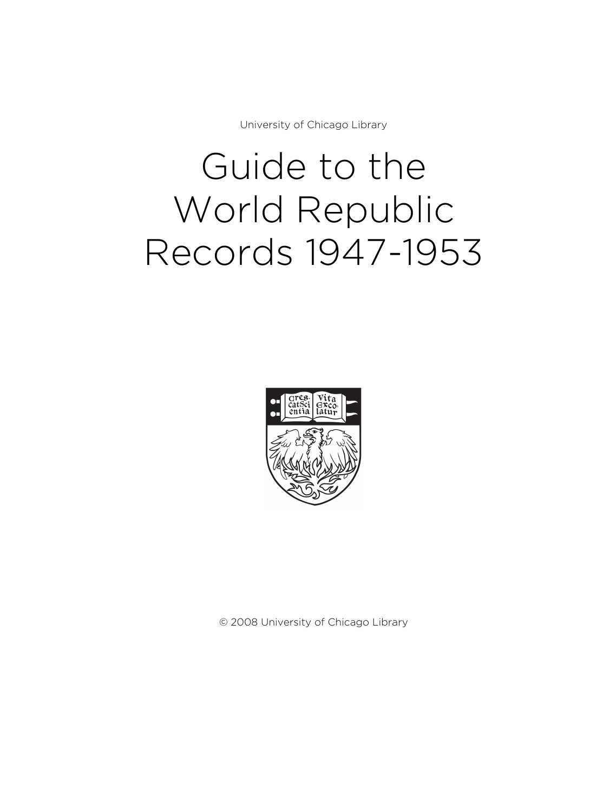University of Chicago Library

# Guide to the World Republic Records 1947-1953



© 2008 University of Chicago Library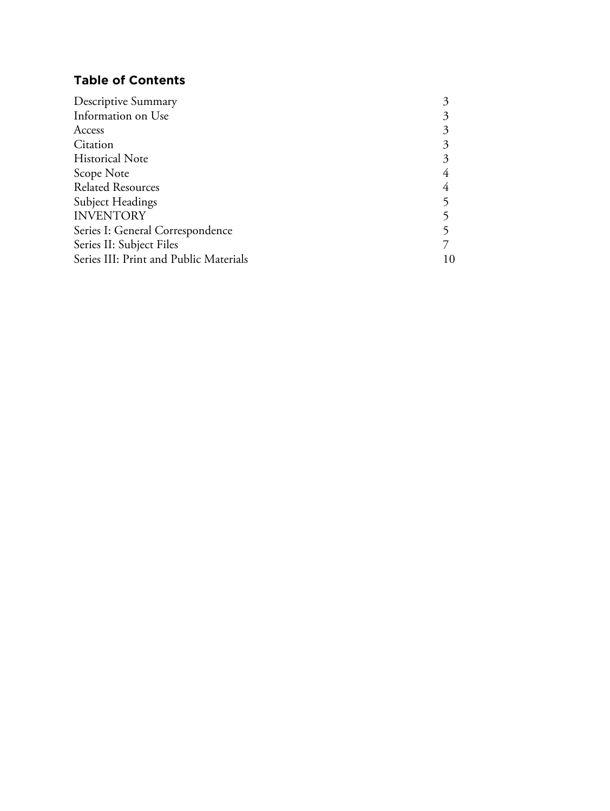# **Table of Contents**

| Descriptive Summary                    |  |
|----------------------------------------|--|
| Information on Use                     |  |
| Access                                 |  |
| Citation                               |  |
| <b>Historical Note</b>                 |  |
| Scope Note                             |  |
| <b>Related Resources</b>               |  |
| Subject Headings                       |  |
| <b>INVENTORY</b>                       |  |
| Series I: General Correspondence       |  |
| Series II: Subject Files               |  |
| Series III: Print and Public Materials |  |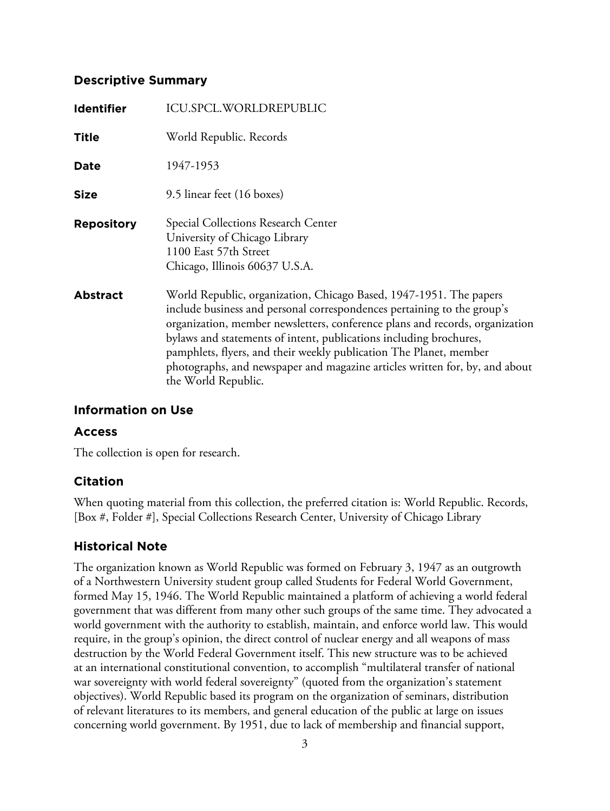#### **Descriptive Summary**

| <b>Identifier</b> | <b>ICU.SPCL.WORLDREPUBLIC</b>                                                                                                                                                                                                                                                                                                                                                                                                                                                   |
|-------------------|---------------------------------------------------------------------------------------------------------------------------------------------------------------------------------------------------------------------------------------------------------------------------------------------------------------------------------------------------------------------------------------------------------------------------------------------------------------------------------|
| <b>Title</b>      | World Republic. Records                                                                                                                                                                                                                                                                                                                                                                                                                                                         |
| <b>Date</b>       | 1947-1953                                                                                                                                                                                                                                                                                                                                                                                                                                                                       |
| <b>Size</b>       | 9.5 linear feet (16 boxes)                                                                                                                                                                                                                                                                                                                                                                                                                                                      |
| <b>Repository</b> | Special Collections Research Center<br>University of Chicago Library<br>1100 East 57th Street<br>Chicago, Illinois 60637 U.S.A.                                                                                                                                                                                                                                                                                                                                                 |
| <b>Abstract</b>   | World Republic, organization, Chicago Based, 1947-1951. The papers<br>include business and personal correspondences pertaining to the group's<br>organization, member newsletters, conference plans and records, organization<br>bylaws and statements of intent, publications including brochures,<br>pamphlets, flyers, and their weekly publication The Planet, member<br>photographs, and newspaper and magazine articles written for, by, and about<br>the World Republic. |

## **Information on Use**

## **Access**

The collection is open for research.

## **Citation**

When quoting material from this collection, the preferred citation is: World Republic. Records, [Box #, Folder #], Special Collections Research Center, University of Chicago Library

## **Historical Note**

The organization known as World Republic was formed on February 3, 1947 as an outgrowth of a Northwestern University student group called Students for Federal World Government, formed May 15, 1946. The World Republic maintained a platform of achieving a world federal government that was different from many other such groups of the same time. They advocated a world government with the authority to establish, maintain, and enforce world law. This would require, in the group's opinion, the direct control of nuclear energy and all weapons of mass destruction by the World Federal Government itself. This new structure was to be achieved at an international constitutional convention, to accomplish "multilateral transfer of national war sovereignty with world federal sovereignty" (quoted from the organization's statement objectives). World Republic based its program on the organization of seminars, distribution of relevant literatures to its members, and general education of the public at large on issues concerning world government. By 1951, due to lack of membership and financial support,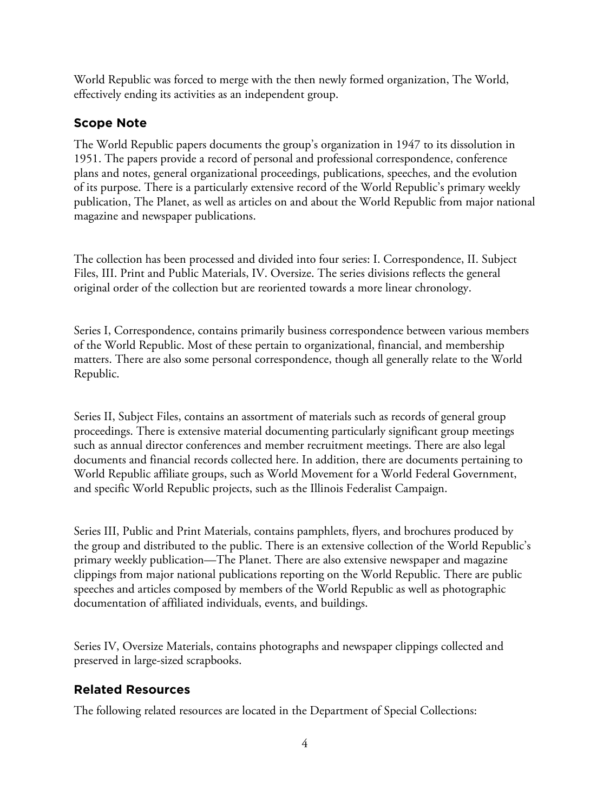World Republic was forced to merge with the then newly formed organization, The World, effectively ending its activities as an independent group.

## **Scope Note**

The World Republic papers documents the group's organization in 1947 to its dissolution in 1951. The papers provide a record of personal and professional correspondence, conference plans and notes, general organizational proceedings, publications, speeches, and the evolution of its purpose. There is a particularly extensive record of the World Republic's primary weekly publication, The Planet, as well as articles on and about the World Republic from major national magazine and newspaper publications.

The collection has been processed and divided into four series: I. Correspondence, II. Subject Files, III. Print and Public Materials, IV. Oversize. The series divisions reflects the general original order of the collection but are reoriented towards a more linear chronology.

Series I, Correspondence, contains primarily business correspondence between various members of the World Republic. Most of these pertain to organizational, financial, and membership matters. There are also some personal correspondence, though all generally relate to the World Republic.

Series II, Subject Files, contains an assortment of materials such as records of general group proceedings. There is extensive material documenting particularly significant group meetings such as annual director conferences and member recruitment meetings. There are also legal documents and financial records collected here. In addition, there are documents pertaining to World Republic affiliate groups, such as World Movement for a World Federal Government, and specific World Republic projects, such as the Illinois Federalist Campaign.

Series III, Public and Print Materials, contains pamphlets, flyers, and brochures produced by the group and distributed to the public. There is an extensive collection of the World Republic's primary weekly publication—The Planet. There are also extensive newspaper and magazine clippings from major national publications reporting on the World Republic. There are public speeches and articles composed by members of the World Republic as well as photographic documentation of affiliated individuals, events, and buildings.

Series IV, Oversize Materials, contains photographs and newspaper clippings collected and preserved in large-sized scrapbooks.

## **Related Resources**

The following related resources are located in the Department of Special Collections: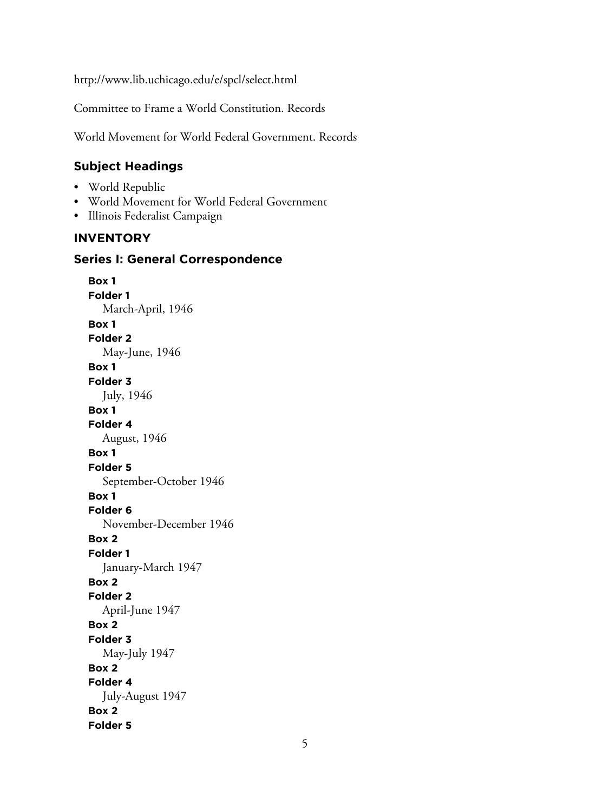http://www.lib.uchicago.edu/e/spcl/select.html

Committee to Frame a World Constitution. Records

World Movement for World Federal Government. Records

# **Subject Headings**

- World Republic
- World Movement for World Federal Government
- Illinois Federalist Campaign

## **INVENTORY**

#### **Series I: General Correspondence**

**Box 1 Folder 1** March-April, 1946 **Box 1 Folder 2** May-June, 1946 **Box 1 Folder 3** July, 1946 **Box 1 Folder 4** August, 1946 **Box 1 Folder 5** September-October 1946 **Box 1 Folder 6** November-December 1946 **Box 2 Folder 1** January-March 1947 **Box 2 Folder 2** April-June 1947 **Box 2 Folder 3** May-July 1947 **Box 2 Folder 4** July-August 1947 **Box 2 Folder 5**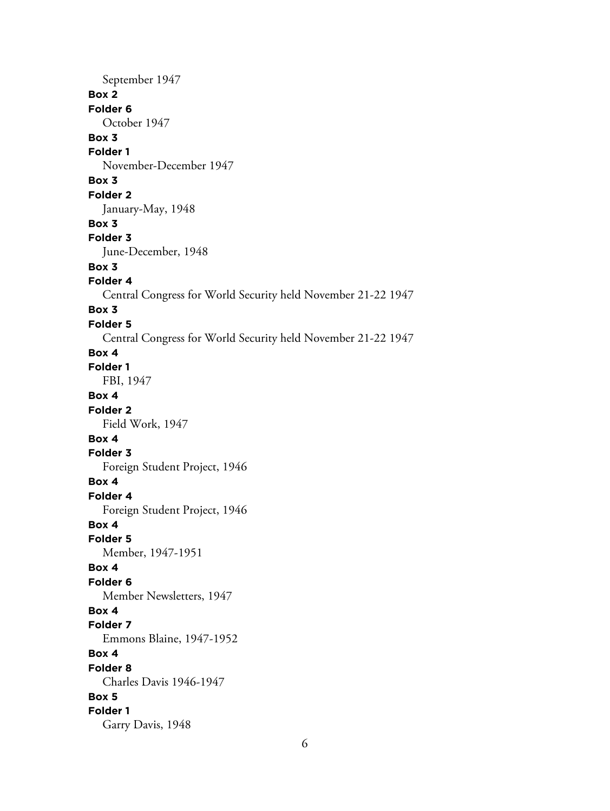September 1947 **Box 2 Folder 6** October 1947 **Box 3 Folder 1** November-December 1947 **Box 3 Folder 2** January-May, 1948 **Box 3 Folder 3** June-December, 1948 **Box 3 Folder 4** Central Congress for World Security held November 21-22 1947 **Box 3 Folder 5** Central Congress for World Security held November 21-22 1947 **Box 4 Folder 1** FBI, 1947 **Box 4 Folder 2** Field Work, 1947 **Box 4 Folder 3** Foreign Student Project, 1946 **Box 4 Folder 4** Foreign Student Project, 1946 **Box 4 Folder 5** Member, 1947-1951 **Box 4 Folder 6** Member Newsletters, 1947 **Box 4 Folder 7** Emmons Blaine, 1947-1952 **Box 4 Folder 8** Charles Davis 1946-1947 **Box 5 Folder 1** Garry Davis, 1948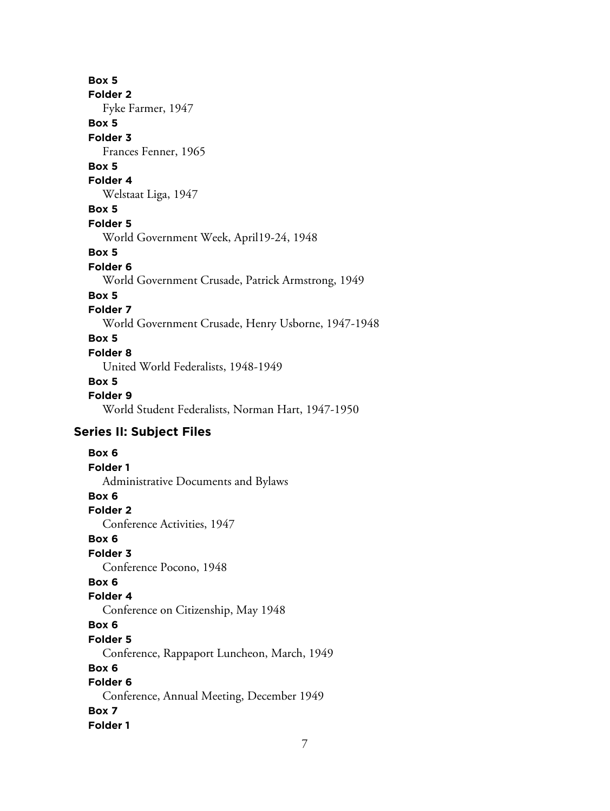#### **Box 5**

**Folder 2**

Fyke Farmer, 1947

# **Box 5**

**Folder 3** Frances Fenner, 1965

# **Box 5**

**Folder 4**

# Welstaat Liga, 1947

**Box 5**

## **Folder 5**

World Government Week, April19-24, 1948

#### **Box 5**

**Folder 6**

World Government Crusade, Patrick Armstrong, 1949

## **Box 5**

## **Folder 7**

World Government Crusade, Henry Usborne, 1947-1948

## **Box 5**

## **Folder 8**

United World Federalists, 1948-1949

## **Box 5**

**Folder 9** World Student Federalists, Norman Hart, 1947-1950

# **Series II: Subject Files**

## **Box 6 Folder 1** Administrative Documents and Bylaws **Box 6 Folder 2** Conference Activities, 1947 **Box 6 Folder 3** Conference Pocono, 1948 **Box 6 Folder 4** Conference on Citizenship, May 1948 **Box 6 Folder 5** Conference, Rappaport Luncheon, March, 1949 **Box 6 Folder 6** Conference, Annual Meeting, December 1949 **Box 7 Folder 1**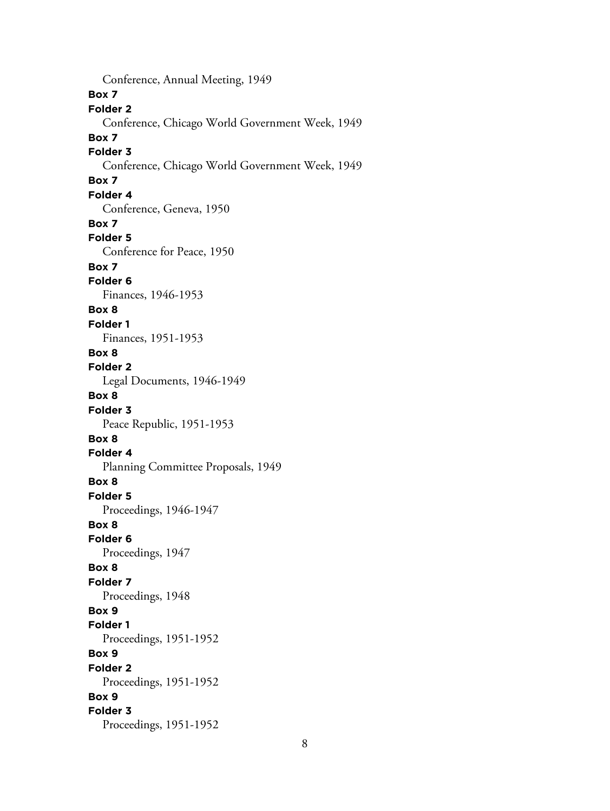Conference, Annual Meeting, 1949 **Box 7 Folder 2** Conference, Chicago World Government Week, 1949 **Box 7 Folder 3** Conference, Chicago World Government Week, 1949 **Box 7 Folder 4** Conference, Geneva, 1950 **Box 7 Folder 5** Conference for Peace, 1950 **Box 7 Folder 6** Finances, 1946-1953 **Box 8 Folder 1** Finances, 1951-1953 **Box 8 Folder 2** Legal Documents, 1946-1949 **Box 8 Folder 3** Peace Republic, 1951-1953 **Box 8 Folder 4** Planning Committee Proposals, 1949 **Box 8 Folder 5** Proceedings, 1946-1947 **Box 8 Folder 6** Proceedings, 1947 **Box 8 Folder 7** Proceedings, 1948 **Box 9 Folder 1** Proceedings, 1951-1952 **Box 9 Folder 2** Proceedings, 1951-1952 **Box 9 Folder 3** Proceedings, 1951-1952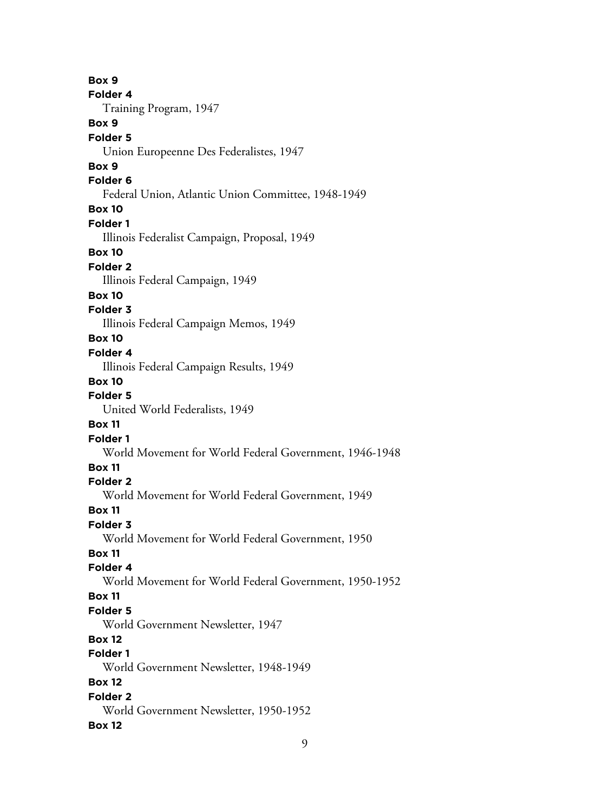**Box 9 Folder 4** Training Program, 1947 **Box 9 Folder 5** Union Europeenne Des Federalistes, 1947 **Box 9 Folder 6** Federal Union, Atlantic Union Committee, 1948-1949 **Box 10 Folder 1** Illinois Federalist Campaign, Proposal, 1949 **Box 10 Folder 2** Illinois Federal Campaign, 1949 **Box 10 Folder 3** Illinois Federal Campaign Memos, 1949 **Box 10 Folder 4** Illinois Federal Campaign Results, 1949 **Box 10 Folder 5** United World Federalists, 1949 **Box 11 Folder 1** World Movement for World Federal Government, 1946-1948 **Box 11 Folder 2** World Movement for World Federal Government, 1949 **Box 11 Folder 3** World Movement for World Federal Government, 1950 **Box 11 Folder 4** World Movement for World Federal Government, 1950-1952 **Box 11 Folder 5** World Government Newsletter, 1947 **Box 12 Folder 1** World Government Newsletter, 1948-1949 **Box 12 Folder 2** World Government Newsletter, 1950-1952 **Box 12**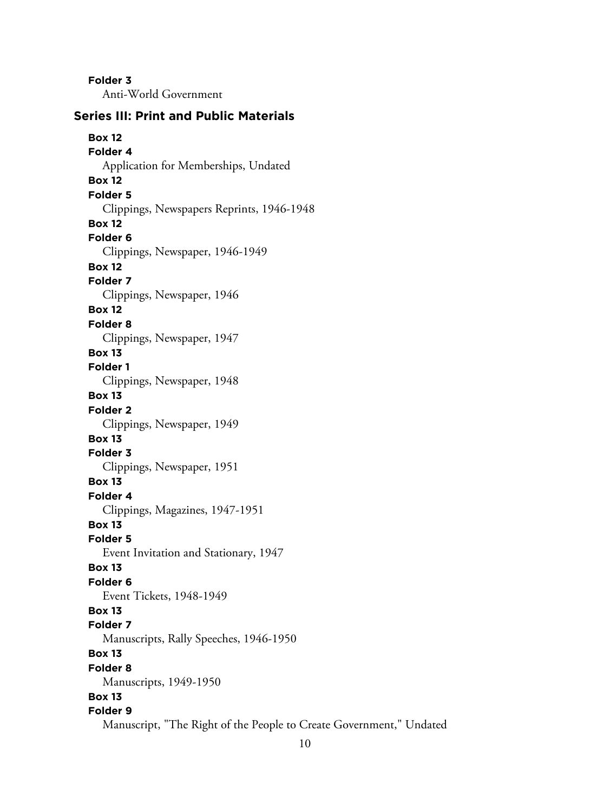**Folder 3** Anti-World Government

#### **Series III: Print and Public Materials**

**Box 12 Folder 4** Application for Memberships, Undated **Box 12 Folder 5** Clippings, Newspapers Reprints, 1946-1948 **Box 12 Folder 6** Clippings, Newspaper, 1946-1949 **Box 12 Folder 7** Clippings, Newspaper, 1946 **Box 12 Folder 8** Clippings, Newspaper, 1947 **Box 13 Folder 1** Clippings, Newspaper, 1948 **Box 13 Folder 2** Clippings, Newspaper, 1949 **Box 13 Folder 3** Clippings, Newspaper, 1951 **Box 13 Folder 4** Clippings, Magazines, 1947-1951 **Box 13 Folder 5** Event Invitation and Stationary, 1947 **Box 13 Folder 6** Event Tickets, 1948-1949 **Box 13 Folder 7** Manuscripts, Rally Speeches, 1946-1950 **Box 13 Folder 8** Manuscripts, 1949-1950 **Box 13 Folder 9** Manuscript, "The Right of the People to Create Government," Undated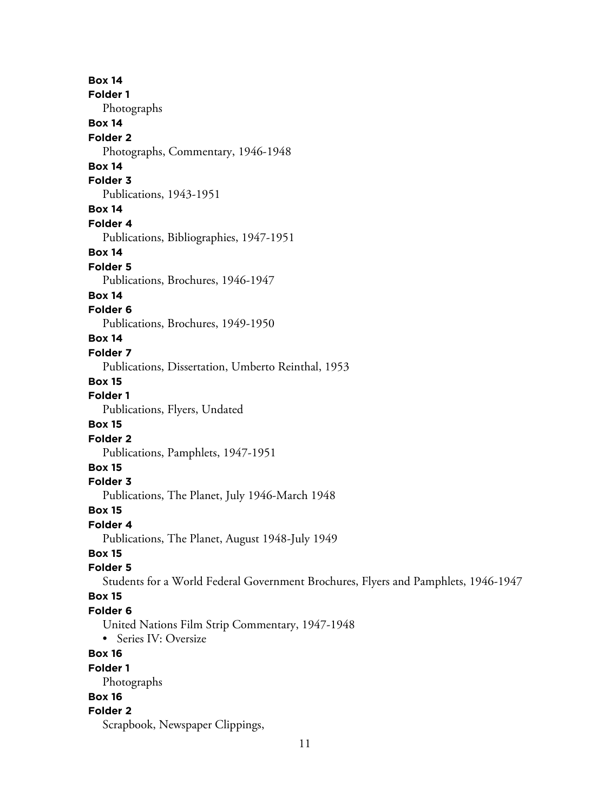**Box 14 Folder 1** Photographs **Box 14 Folder 2** Photographs, Commentary, 1946-1948 **Box 14 Folder 3** Publications, 1943-1951 **Box 14 Folder 4** Publications, Bibliographies, 1947-1951 **Box 14 Folder 5** Publications, Brochures, 1946-1947 **Box 14 Folder 6** Publications, Brochures, 1949-1950 **Box 14 Folder 7** Publications, Dissertation, Umberto Reinthal, 1953 **Box 15 Folder 1** Publications, Flyers, Undated **Box 15 Folder 2** Publications, Pamphlets, 1947-1951 **Box 15 Folder 3** Publications, The Planet, July 1946-March 1948 **Box 15 Folder 4** Publications, The Planet, August 1948-July 1949 **Box 15 Folder 5** Students for a World Federal Government Brochures, Flyers and Pamphlets, 1946-1947 **Box 15 Folder 6** United Nations Film Strip Commentary, 1947-1948 • Series IV: Oversize **Box 16 Folder 1** Photographs **Box 16 Folder 2** Scrapbook, Newspaper Clippings,